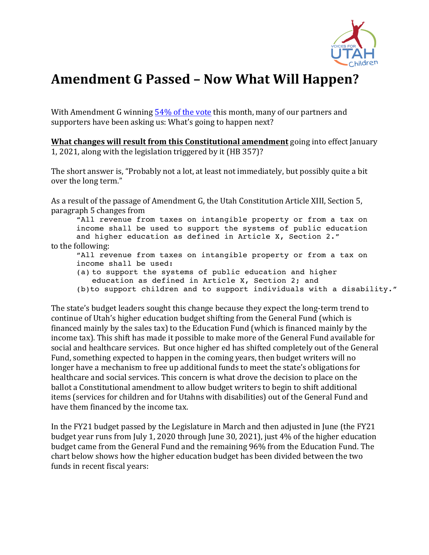

## Amendment G Passed - Now What Will Happen?

With Amendment G winning  $54\%$  of the vote this month, many of our partners and supporters have been asking us: What's going to happen next?

**What changes will result from this Constitutional amendment** going into effect January 1, 2021, along with the legislation triggered by it (HB 357)?

The short answer is, "Probably not a lot, at least not immediately, but possibly quite a bit over the long term."

As a result of the passage of Amendment G, the Utah Constitution Article XIII, Section 5, paragraph 5 changes from 

"All revenue from taxes on intangible property or from a tax on income shall be used to support the systems of public education and higher education as defined in Article X, Section 2." to the following:

"All revenue from taxes on intangible property or from a tax on income shall be used:

- (a) to support the systems of public education and higher education as defined in Article X, Section 2; and
- (b)to support children and to support individuals with a disability."

The state's budget leaders sought this change because they expect the long-term trend to continue of Utah's higher education budget shifting from the General Fund (which is financed mainly by the sales tax) to the Education Fund (which is financed mainly by the income tax). This shift has made it possible to make more of the General Fund available for social and healthcare services. But once higher ed has shifted completely out of the General Fund, something expected to happen in the coming years, then budget writers will no longer have a mechanism to free up additional funds to meet the state's obligations for healthcare and social services. This concern is what drove the decision to place on the ballot a Constitutional amendment to allow budget writers to begin to shift additional items (services for children and for Utahns with disabilities) out of the General Fund and have them financed by the income tax.

In the FY21 budget passed by the Legislature in March and then adjusted in June (the FY21 budget year runs from July 1, 2020 through June 30, 2021), just  $4\%$  of the higher education budget came from the General Fund and the remaining 96% from the Education Fund. The chart below shows how the higher education budget has been divided between the two funds in recent fiscal years: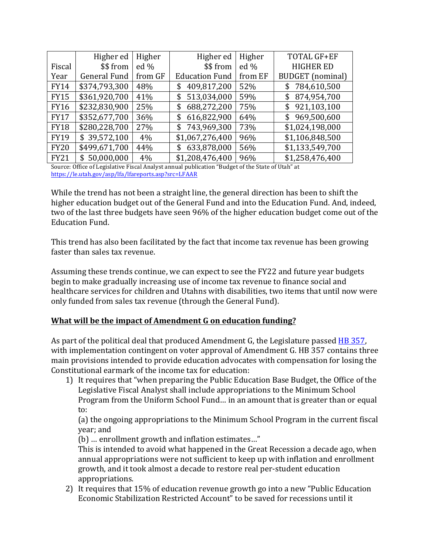|             | Higher ed           | Higher  | Higher ed             | Higher  | TOTAL GF+EF             |
|-------------|---------------------|---------|-----------------------|---------|-------------------------|
| Fiscal      | \$\$ from           | ed $%$  | \$\$ from             | ed $%$  | <b>HIGHER ED</b>        |
| Year        | <b>General Fund</b> | from GF | <b>Education Fund</b> | from EF | <b>BUDGET</b> (nominal) |
| <b>FY14</b> | \$374,793,300       | 48%     | 409,817,200<br>\$     | 52%     | 784,610,500<br>\$       |
| <b>FY15</b> | \$361,920,700       | 41%     | 513,034,000<br>\$     | 59%     | 874,954,700<br>\$       |
| <b>FY16</b> | \$232,830,900       | 25%     | 688,272,200<br>\$     | 75%     | 921,103,100<br>\$       |
| <b>FY17</b> | \$352,677,700       | 36%     | 616,822,900<br>\$     | 64%     | 969,500,600<br>\$       |
| <b>FY18</b> | \$280,228,700       | 27%     | 743,969,300<br>\$     | 73%     | \$1,024,198,000         |
| <b>FY19</b> | \$39,572,100        | 4%      | \$1,067,276,400       | 96%     | \$1,106,848,500         |
| <b>FY20</b> | \$499,671,700       | 44%     | 633,878,000<br>\$     | 56%     | \$1,133,549,700         |
| <b>FY21</b> | \$50,000,000        | 4%      | \$1,208,476,400       | 96%     | \$1,258,476,400         |

Source: Office of Legislative Fiscal Analyst annual publication "Budget of the State of Utah" at https://le.utah.gov/asp/lfa/lfareports.asp?src=LFAAR

While the trend has not been a straight line, the general direction has been to shift the higher education budget out of the General Fund and into the Education Fund. And, indeed, two of the last three budgets have seen 96% of the higher education budget come out of the Education Fund.

This trend has also been facilitated by the fact that income tax revenue has been growing faster than sales tax revenue.

Assuming these trends continue, we can expect to see the FY22 and future year budgets begin to make gradually increasing use of income tax revenue to finance social and healthcare services for children and Utahns with disabilities, two items that until now were only funded from sales tax revenue (through the General Fund).

## **What will be the impact of Amendment G on education funding?**

As part of the political deal that produced Amendment G, the Legislature passed HB 357, with implementation contingent on voter approval of Amendment G. HB 357 contains three main provisions intended to provide education advocates with compensation for losing the Constitutional earmark of the income tax for education:

1) It requires that "when preparing the Public Education Base Budget, the Office of the Legislative Fiscal Analyst shall include appropriations to the Minimum School Program from the Uniform School Fund... in an amount that is greater than or equal to:

(a) the ongoing appropriations to the Minimum School Program in the current fiscal vear; and

(b) ... enrollment growth and inflation estimates..."

This is intended to avoid what happened in the Great Recession a decade ago, when annual appropriations were not sufficient to keep up with inflation and enrollment growth, and it took almost a decade to restore real per-student education appropriations. 

2) It requires that 15% of education revenue growth go into a new "Public Education Economic Stabilization Restricted Account" to be saved for recessions until it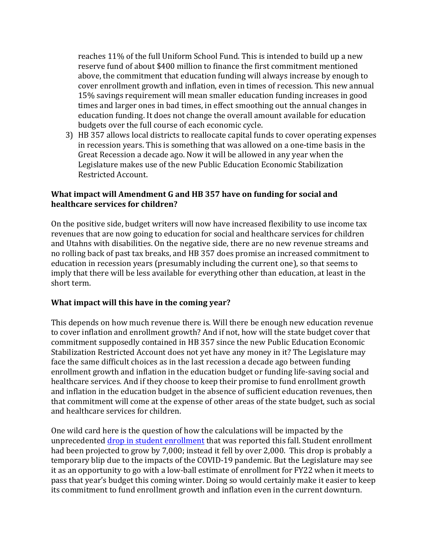reaches 11% of the full Uniform School Fund. This is intended to build up a new reserve fund of about \$400 million to finance the first commitment mentioned above, the commitment that education funding will always increase by enough to cover enrollment growth and inflation, even in times of recession. This new annual 15% savings requirement will mean smaller education funding increases in good times and larger ones in bad times, in effect smoothing out the annual changes in education funding. It does not change the overall amount available for education budgets over the full course of each economic cycle.

3) HB 357 allows local districts to reallocate capital funds to cover operating expenses in recession years. This is something that was allowed on a one-time basis in the Great Recession a decade ago. Now it will be allowed in any year when the Legislature makes use of the new Public Education Economic Stabilization Restricted Account. 

## **What impact will Amendment G and HB 357 have on funding for social and healthcare services for children?**

On the positive side, budget writers will now have increased flexibility to use income tax revenues that are now going to education for social and healthcare services for children and Utahns with disabilities. On the negative side, there are no new revenue streams and no rolling back of past tax breaks, and HB 357 does promise an increased commitment to education in recession years (presumably including the current one), so that seems to imply that there will be less available for everything other than education, at least in the short term.

## **What impact will this have in the coming year?**

This depends on how much revenue there is. Will there be enough new education revenue to cover inflation and enrollment growth? And if not, how will the state budget cover that commitment supposedly contained in HB 357 since the new Public Education Economic Stabilization Restricted Account does not yet have any money in it? The Legislature may face the same difficult choices as in the last recession a decade ago between funding enrollment growth and inflation in the education budget or funding life-saving social and healthcare services. And if they choose to keep their promise to fund enrollment growth and inflation in the education budget in the absence of sufficient education revenues, then that commitment will come at the expense of other areas of the state budget, such as social and healthcare services for children.

One wild card here is the question of how the calculations will be impacted by the unprecedented drop in student enrollment that was reported this fall. Student enrollment had been projected to grow by 7,000; instead it fell by over 2,000. This drop is probably a temporary blip due to the impacts of the COVID-19 pandemic. But the Legislature may see it as an opportunity to go with a low-ball estimate of enrollment for FY22 when it meets to pass that year's budget this coming winter. Doing so would certainly make it easier to keep its commitment to fund enrollment growth and inflation even in the current downturn.